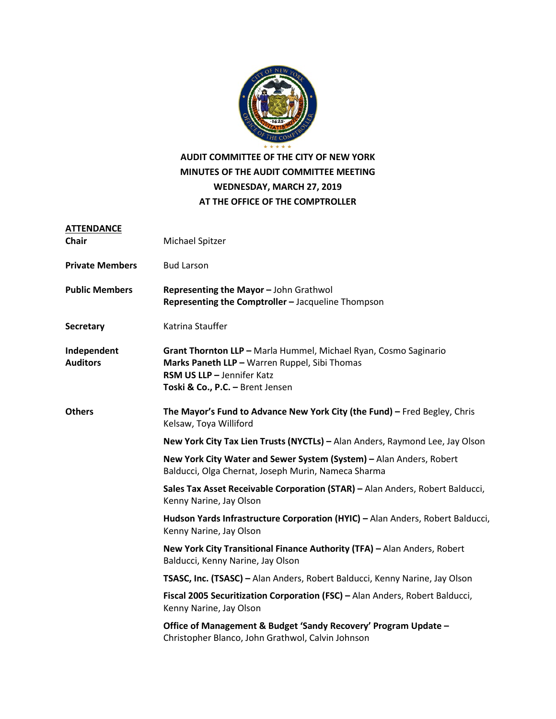

## **AUDIT COMMITTEE OF THE CITY OF NEW YORK MINUTES OF THE AUDIT COMMITTEE MEETING WEDNESDAY, MARCH 27, 2019 AT THE OFFICE OF THE COMPTROLLER**

| <b>ATTENDANCE</b><br><b>Chair</b> | Michael Spitzer                                                                                                                                                                     |
|-----------------------------------|-------------------------------------------------------------------------------------------------------------------------------------------------------------------------------------|
| <b>Private Members</b>            | <b>Bud Larson</b>                                                                                                                                                                   |
| <b>Public Members</b>             | Representing the Mayor - John Grathwol<br>Representing the Comptroller - Jacqueline Thompson                                                                                        |
| <b>Secretary</b>                  | Katrina Stauffer                                                                                                                                                                    |
| Independent<br><b>Auditors</b>    | Grant Thornton LLP - Marla Hummel, Michael Ryan, Cosmo Saginario<br>Marks Paneth LLP - Warren Ruppel, Sibi Thomas<br>RSM US LLP - Jennifer Katz<br>Toski & Co., P.C. - Brent Jensen |
| <b>Others</b>                     | The Mayor's Fund to Advance New York City (the Fund) - Fred Begley, Chris<br>Kelsaw, Toya Williford                                                                                 |
|                                   | New York City Tax Lien Trusts (NYCTLs) - Alan Anders, Raymond Lee, Jay Olson                                                                                                        |
|                                   | New York City Water and Sewer System (System) - Alan Anders, Robert<br>Balducci, Olga Chernat, Joseph Murin, Nameca Sharma                                                          |
|                                   | Sales Tax Asset Receivable Corporation (STAR) - Alan Anders, Robert Balducci,<br>Kenny Narine, Jay Olson                                                                            |
|                                   | Hudson Yards Infrastructure Corporation (HYIC) - Alan Anders, Robert Balducci,<br>Kenny Narine, Jay Olson                                                                           |
|                                   | New York City Transitional Finance Authority (TFA) - Alan Anders, Robert<br>Balducci, Kenny Narine, Jay Olson                                                                       |
|                                   | TSASC, Inc. (TSASC) - Alan Anders, Robert Balducci, Kenny Narine, Jay Olson                                                                                                         |
|                                   | Fiscal 2005 Securitization Corporation (FSC) - Alan Anders, Robert Balducci,<br>Kenny Narine, Jay Olson                                                                             |
|                                   | Office of Management & Budget 'Sandy Recovery' Program Update -<br>Christopher Blanco, John Grathwol, Calvin Johnson                                                                |
|                                   |                                                                                                                                                                                     |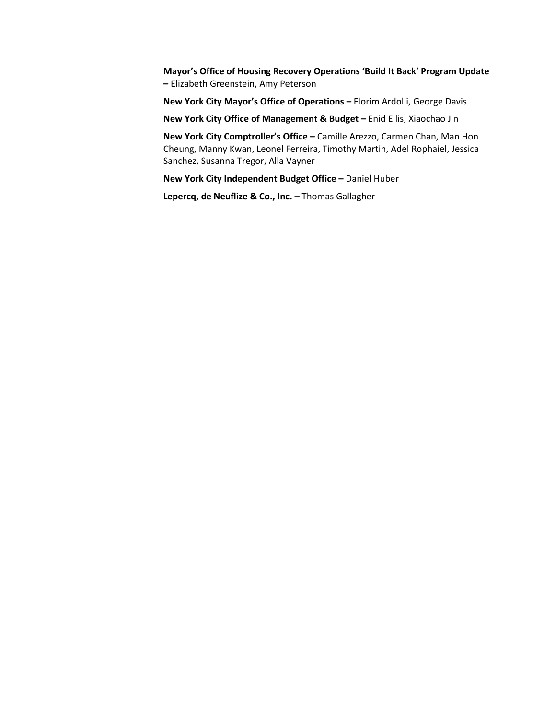**Mayor's Office of Housing Recovery Operations 'Build It Back' Program Update –** Elizabeth Greenstein, Amy Peterson

**New York City Mayor's Office of Operations –** Florim Ardolli, George Davis

**New York City Office of Management & Budget –** Enid Ellis, Xiaochao Jin

**New York City Comptroller's Office –** Camille Arezzo, Carmen Chan, Man Hon Cheung, Manny Kwan, Leonel Ferreira, Timothy Martin, Adel Rophaiel, Jessica Sanchez, Susanna Tregor, Alla Vayner

**New York City Independent Budget Office –** Daniel Huber

**Lepercq, de Neuflize & Co., Inc. –** Thomas Gallagher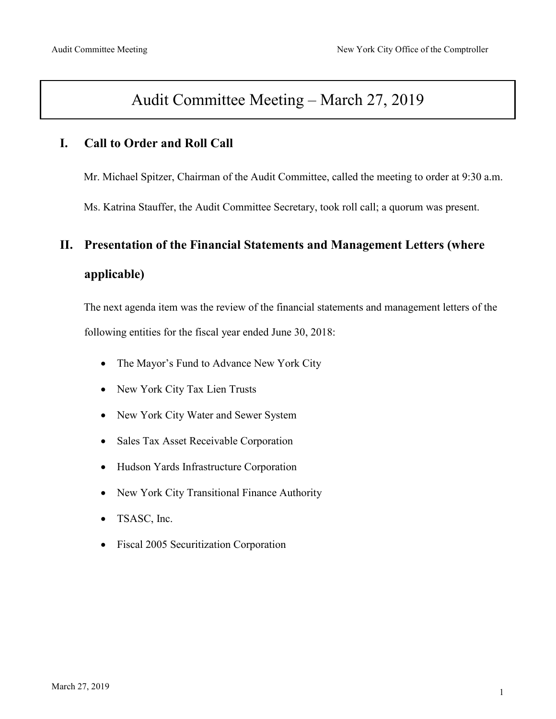## Audit Committee Meeting – March 27, 2019

## **I. Call to Order and Roll Call**

Mr. Michael Spitzer, Chairman of the Audit Committee, called the meeting to order at 9:30 a.m.

Ms. Katrina Stauffer, the Audit Committee Secretary, took roll call; a quorum was present.

# **II. Presentation of the Financial Statements and Management Letters (where applicable)**

The next agenda item was the review of the financial statements and management letters of the following entities for the fiscal year ended June 30, 2018:

- The Mayor's Fund to Advance New York City
- New York City Tax Lien Trusts
- New York City Water and Sewer System
- Sales Tax Asset Receivable Corporation
- Hudson Yards Infrastructure Corporation
- New York City Transitional Finance Authority
- TSASC, Inc.
- Fiscal 2005 Securitization Corporation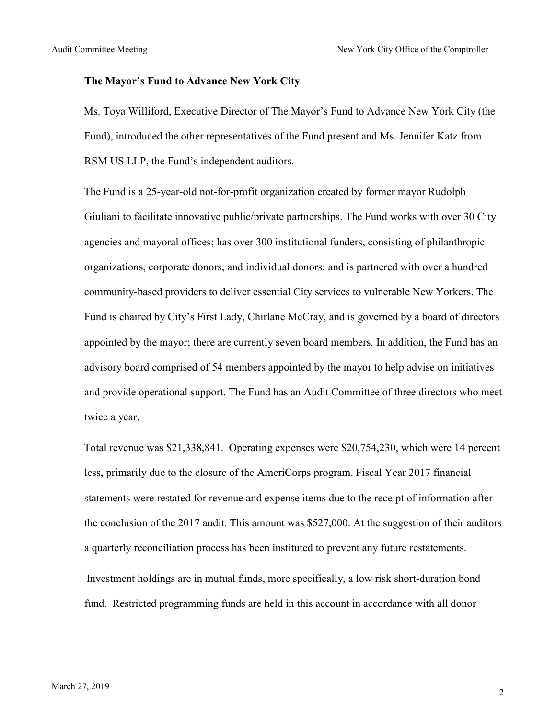#### **The Mayor's Fund to Advance New York City**

Ms. Toya Williford, Executive Director of The Mayor's Fund to Advance New York City (the Fund), introduced the other representatives of the Fund present and Ms. Jennifer Katz from RSM US LLP, the Fund's independent auditors.

The Fund is a 25-year-old not-for-profit organization created by former mayor Rudolph Giuliani to facilitate innovative public/private partnerships. The Fund works with over 30 City agencies and mayoral offices; has over 300 institutional funders, consisting of philanthropic organizations, corporate donors, and individual donors; and is partnered with over a hundred community-based providers to deliver essential City services to vulnerable New Yorkers. The Fund is chaired by City's First Lady, Chirlane McCray, and is governed by a board of directors appointed by the mayor; there are currently seven board members. In addition, the Fund has an advisory board comprised of 54 members appointed by the mayor to help advise on initiatives and provide operational support. The Fund has an Audit Committee of three directors who meet twice a year.

Total revenue was \$21,338,841. Operating expenses were \$20,754,230, which were 14 percent less, primarily due to the closure of the AmeriCorps program. Fiscal Year 2017 financial statements were restated for revenue and expense items due to the receipt of information after the conclusion of the 2017 audit. This amount was \$527,000. At the suggestion of their auditors a quarterly reconciliation process has been instituted to prevent any future restatements. Investment holdings are in mutual funds, more specifically, a low risk short-duration bond

fund. Restricted programming funds are held in this account in accordance with all donor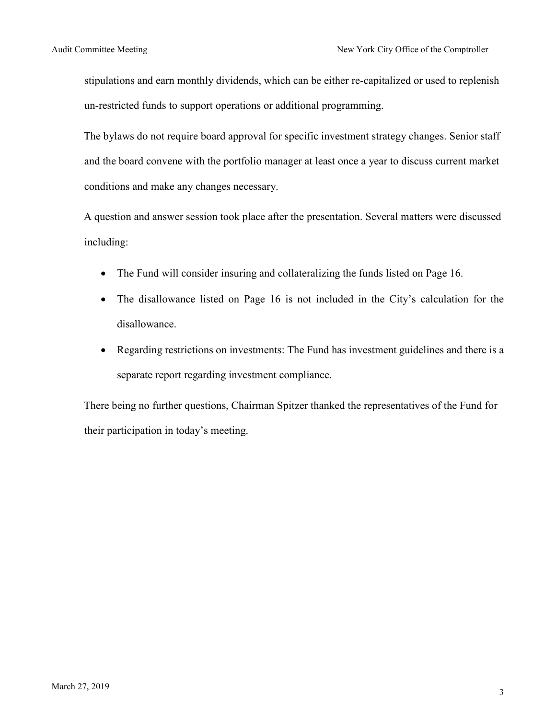stipulations and earn monthly dividends, which can be either re-capitalized or used to replenish un-restricted funds to support operations or additional programming.

The bylaws do not require board approval for specific investment strategy changes. Senior staff and the board convene with the portfolio manager at least once a year to discuss current market conditions and make any changes necessary.

A question and answer session took place after the presentation. Several matters were discussed including:

- The Fund will consider insuring and collateralizing the funds listed on Page 16.
- The disallowance listed on Page 16 is not included in the City's calculation for the disallowance.
- Regarding restrictions on investments: The Fund has investment guidelines and there is a separate report regarding investment compliance.

There being no further questions, Chairman Spitzer thanked the representatives of the Fund for their participation in today's meeting.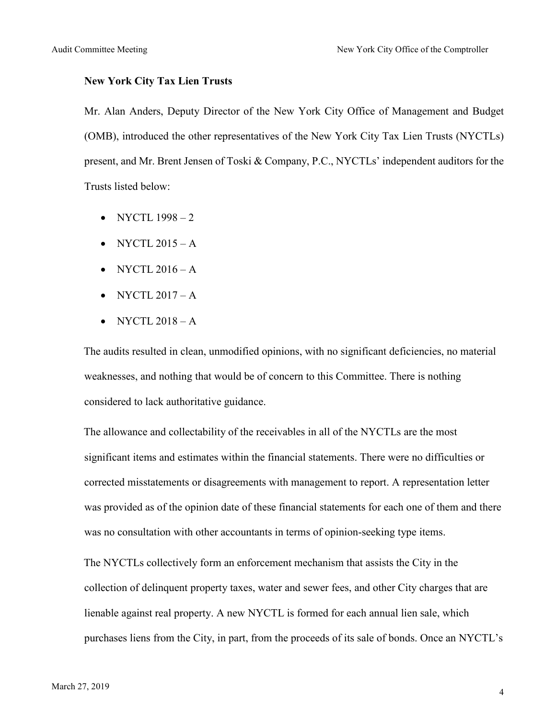#### **New York City Tax Lien Trusts**

Mr. Alan Anders, Deputy Director of the New York City Office of Management and Budget (OMB), introduced the other representatives of the New York City Tax Lien Trusts (NYCTLs) present, and Mr. Brent Jensen of Toski & Company, P.C., NYCTLs' independent auditors for the Trusts listed below:

- NYCTL  $1998-2$
- NYCTL  $2015 A$
- NYCTL  $2016 A$
- NYCTL  $2017 A$
- NYCTL  $2018 A$

The audits resulted in clean, unmodified opinions, with no significant deficiencies, no material weaknesses, and nothing that would be of concern to this Committee. There is nothing considered to lack authoritative guidance.

The allowance and collectability of the receivables in all of the NYCTLs are the most significant items and estimates within the financial statements. There were no difficulties or corrected misstatements or disagreements with management to report. A representation letter was provided as of the opinion date of these financial statements for each one of them and there was no consultation with other accountants in terms of opinion-seeking type items.

The NYCTLs collectively form an enforcement mechanism that assists the City in the collection of delinquent property taxes, water and sewer fees, and other City charges that are lienable against real property. A new NYCTL is formed for each annual lien sale, which purchases liens from the City, in part, from the proceeds of its sale of bonds. Once an NYCTL's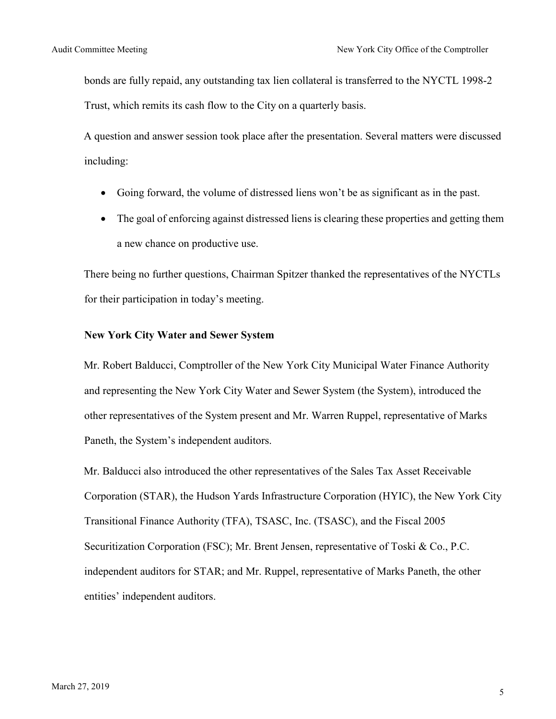bonds are fully repaid, any outstanding tax lien collateral is transferred to the NYCTL 1998-2 Trust, which remits its cash flow to the City on a quarterly basis.

A question and answer session took place after the presentation. Several matters were discussed including:

- Going forward, the volume of distressed liens won't be as significant as in the past.
- The goal of enforcing against distressed liens is clearing these properties and getting them a new chance on productive use.

There being no further questions, Chairman Spitzer thanked the representatives of the NYCTLs for their participation in today's meeting.

#### **New York City Water and Sewer System**

Mr. Robert Balducci, Comptroller of the New York City Municipal Water Finance Authority and representing the New York City Water and Sewer System (the System), introduced the other representatives of the System present and Mr. Warren Ruppel, representative of Marks Paneth, the System's independent auditors.

Mr. Balducci also introduced the other representatives of the Sales Tax Asset Receivable Corporation (STAR), the Hudson Yards Infrastructure Corporation (HYIC), the New York City Transitional Finance Authority (TFA), TSASC, Inc. (TSASC), and the Fiscal 2005 Securitization Corporation (FSC); Mr. Brent Jensen, representative of Toski & Co., P.C. independent auditors for STAR; and Mr. Ruppel, representative of Marks Paneth, the other entities' independent auditors.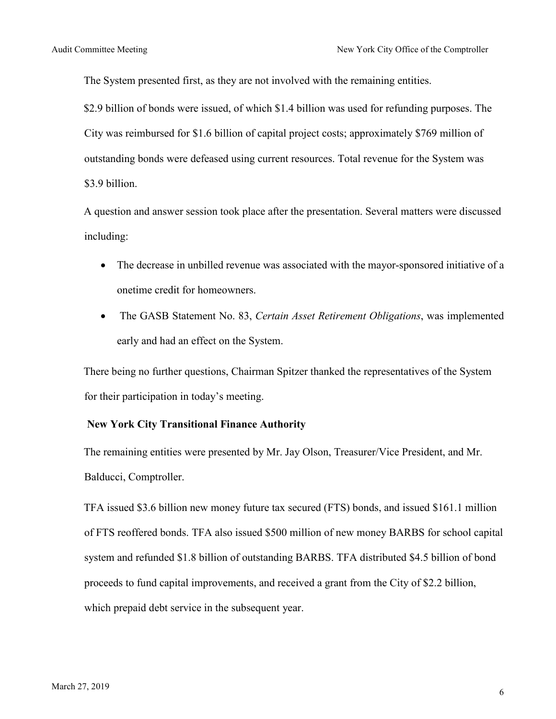The System presented first, as they are not involved with the remaining entities.

\$2.9 billion of bonds were issued, of which \$1.4 billion was used for refunding purposes. The City was reimbursed for \$1.6 billion of capital project costs; approximately \$769 million of outstanding bonds were defeased using current resources. Total revenue for the System was \$3.9 billion.

A question and answer session took place after the presentation. Several matters were discussed including:

- The decrease in unbilled revenue was associated with the mayor-sponsored initiative of a onetime credit for homeowners.
- The GASB Statement No. 83, *Certain Asset Retirement Obligations*, was implemented early and had an effect on the System.

There being no further questions, Chairman Spitzer thanked the representatives of the System for their participation in today's meeting.

#### **New York City Transitional Finance Authority**

The remaining entities were presented by Mr. Jay Olson, Treasurer/Vice President, and Mr. Balducci, Comptroller.

TFA issued \$3.6 billion new money future tax secured (FTS) bonds, and issued \$161.1 million of FTS reoffered bonds. TFA also issued \$500 million of new money BARBS for school capital system and refunded \$1.8 billion of outstanding BARBS. TFA distributed \$4.5 billion of bond proceeds to fund capital improvements, and received a grant from the City of \$2.2 billion, which prepaid debt service in the subsequent year.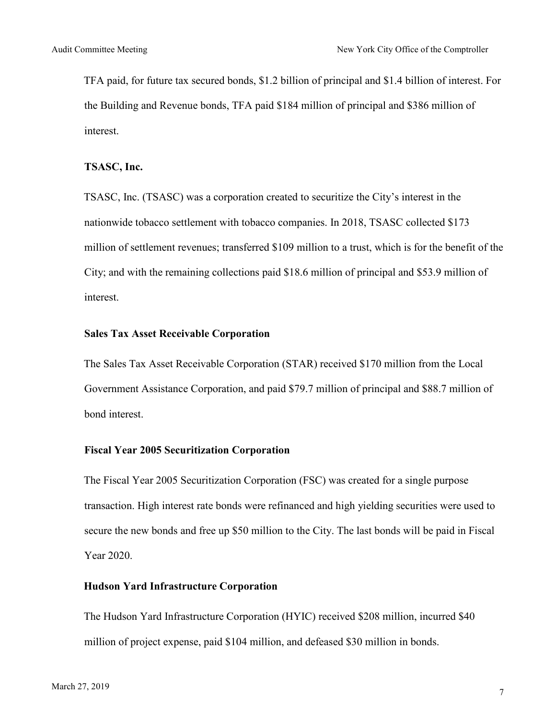TFA paid, for future tax secured bonds, \$1.2 billion of principal and \$1.4 billion of interest. For the Building and Revenue bonds, TFA paid \$184 million of principal and \$386 million of interest.

#### **TSASC, Inc.**

TSASC, Inc. (TSASC) was a corporation created to securitize the City's interest in the nationwide tobacco settlement with tobacco companies. In 2018, TSASC collected \$173 million of settlement revenues; transferred \$109 million to a trust, which is for the benefit of the City; and with the remaining collections paid \$18.6 million of principal and \$53.9 million of interest.

#### **Sales Tax Asset Receivable Corporation**

The Sales Tax Asset Receivable Corporation (STAR) received \$170 million from the Local Government Assistance Corporation, and paid \$79.7 million of principal and \$88.7 million of bond interest.

#### **Fiscal Year 2005 Securitization Corporation**

The Fiscal Year 2005 Securitization Corporation (FSC) was created for a single purpose transaction. High interest rate bonds were refinanced and high yielding securities were used to secure the new bonds and free up \$50 million to the City. The last bonds will be paid in Fiscal Year 2020.

#### **Hudson Yard Infrastructure Corporation**

The Hudson Yard Infrastructure Corporation (HYIC) received \$208 million, incurred \$40 million of project expense, paid \$104 million, and defeased \$30 million in bonds.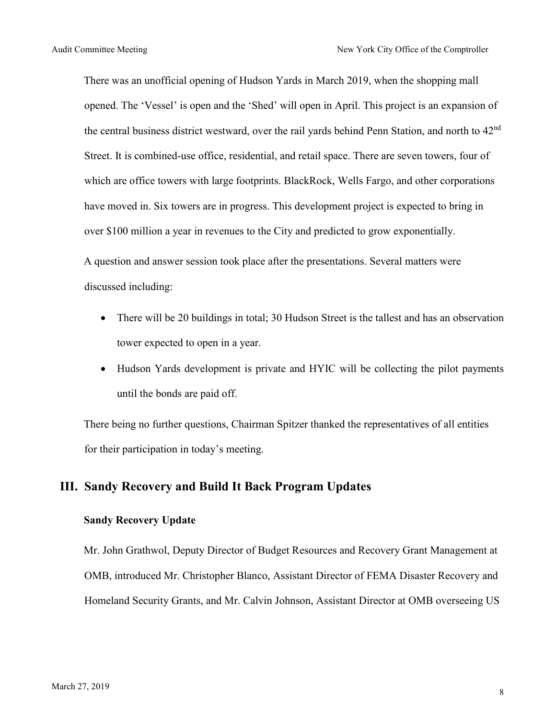There was an unofficial opening of Hudson Yards in March 2019, when the shopping mall opened. The 'Vessel' is open and the 'Shed' will open in April. This project is an expansion of the central business district westward, over the rail vards behind Penn Station, and north to 42<sup>nd</sup> Street. It is combined-use office, residential, and retail space. There are seven towers, four of which are office towers with large footprints. BlackRock, Wells Fargo, and other corporations have moved in. Six towers are in progress. This development project is expected to bring in over \$100 million a year in revenues to the City and predicted to grow exponentially.

A question and answer session took place after the presentations. Several matters were discussed including:

- There will be 20 buildings in total; 30 Hudson Street is the tallest and has an observation tower expected to open in a year.
- Hudson Yards development is private and HYIC will be collecting the pilot payments until the bonds are paid off.

There being no further questions, Chairman Spitzer thanked the representatives of all entities for their participation in today's meeting.

### **III. Sandy Recovery and Build It Back Program Updates**

#### **Sandy Recovery Update**

Mr. John Grathwol, Deputy Director of Budget Resources and Recovery Grant Management at OMB, introduced Mr. Christopher Blanco, Assistant Director of FEMA Disaster Recovery and Homeland Security Grants, and Mr. Calvin Johnson, Assistant Director at OMB overseeing US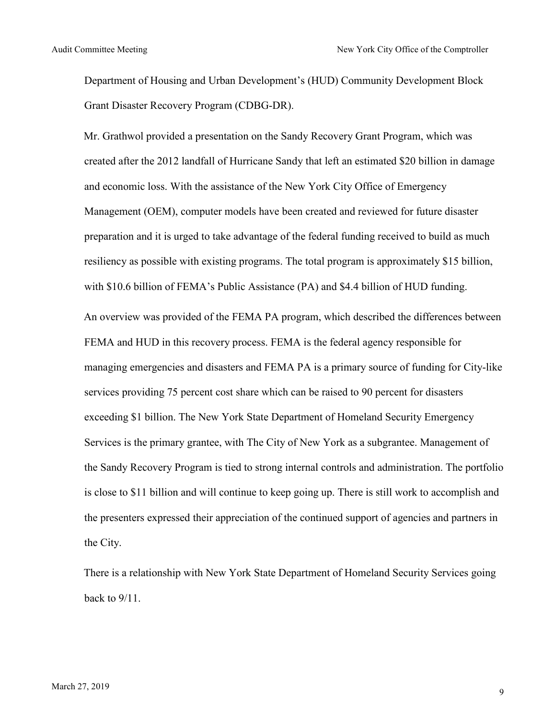Department of Housing and Urban Development's (HUD) Community Development Block Grant Disaster Recovery Program (CDBG-DR).

Mr. Grathwol provided a presentation on the Sandy Recovery Grant Program, which was created after the 2012 landfall of Hurricane Sandy that left an estimated \$20 billion in damage and economic loss. With the assistance of the New York City Office of Emergency Management (OEM), computer models have been created and reviewed for future disaster preparation and it is urged to take advantage of the federal funding received to build as much resiliency as possible with existing programs. The total program is approximately \$15 billion, with \$10.6 billion of FEMA's Public Assistance (PA) and \$4.4 billion of HUD funding. An overview was provided of the FEMA PA program, which described the differences between FEMA and HUD in this recovery process. FEMA is the federal agency responsible for managing emergencies and disasters and FEMA PA is a primary source of funding for City-like services providing 75 percent cost share which can be raised to 90 percent for disasters exceeding \$1 billion. The New York State Department of Homeland Security Emergency Services is the primary grantee, with The City of New York as a subgrantee. Management of the Sandy Recovery Program is tied to strong internal controls and administration. The portfolio is close to \$11 billion and will continue to keep going up. There is still work to accomplish and the presenters expressed their appreciation of the continued support of agencies and partners in the City.

There is a relationship with New York State Department of Homeland Security Services going back to 9/11.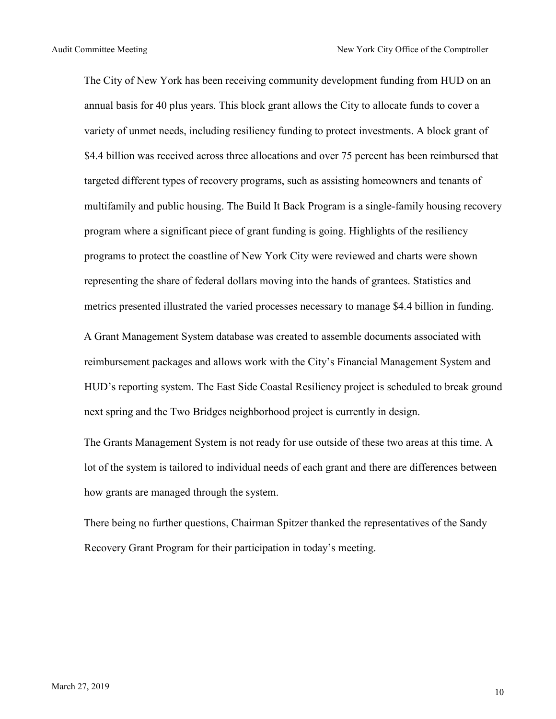The City of New York has been receiving community development funding from HUD on an annual basis for 40 plus years. This block grant allows the City to allocate funds to cover a variety of unmet needs, including resiliency funding to protect investments. A block grant of \$4.4 billion was received across three allocations and over 75 percent has been reimbursed that targeted different types of recovery programs, such as assisting homeowners and tenants of multifamily and public housing. The Build It Back Program is a single-family housing recovery program where a significant piece of grant funding is going. Highlights of the resiliency programs to protect the coastline of New York City were reviewed and charts were shown representing the share of federal dollars moving into the hands of grantees. Statistics and metrics presented illustrated the varied processes necessary to manage \$4.4 billion in funding.

A Grant Management System database was created to assemble documents associated with reimbursement packages and allows work with the City's Financial Management System and HUD's reporting system. The East Side Coastal Resiliency project is scheduled to break ground next spring and the Two Bridges neighborhood project is currently in design.

The Grants Management System is not ready for use outside of these two areas at this time. A lot of the system is tailored to individual needs of each grant and there are differences between how grants are managed through the system.

There being no further questions, Chairman Spitzer thanked the representatives of the Sandy Recovery Grant Program for their participation in today's meeting.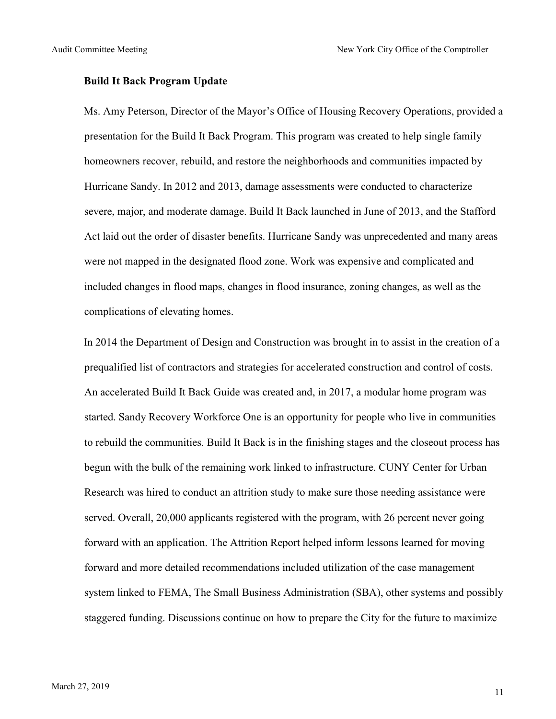#### **Build It Back Program Update**

Ms. Amy Peterson, Director of the Mayor's Office of Housing Recovery Operations, provided a presentation for the Build It Back Program. This program was created to help single family homeowners recover, rebuild, and restore the neighborhoods and communities impacted by Hurricane Sandy. In 2012 and 2013, damage assessments were conducted to characterize severe, major, and moderate damage. Build It Back launched in June of 2013, and the Stafford Act laid out the order of disaster benefits. Hurricane Sandy was unprecedented and many areas were not mapped in the designated flood zone. Work was expensive and complicated and included changes in flood maps, changes in flood insurance, zoning changes, as well as the complications of elevating homes.

In 2014 the Department of Design and Construction was brought in to assist in the creation of a prequalified list of contractors and strategies for accelerated construction and control of costs. An accelerated Build It Back Guide was created and, in 2017, a modular home program was started. Sandy Recovery Workforce One is an opportunity for people who live in communities to rebuild the communities. Build It Back is in the finishing stages and the closeout process has begun with the bulk of the remaining work linked to infrastructure. CUNY Center for Urban Research was hired to conduct an attrition study to make sure those needing assistance were served. Overall, 20,000 applicants registered with the program, with 26 percent never going forward with an application. The Attrition Report helped inform lessons learned for moving forward and more detailed recommendations included utilization of the case management system linked to FEMA, The Small Business Administration (SBA), other systems and possibly staggered funding. Discussions continue on how to prepare the City for the future to maximize